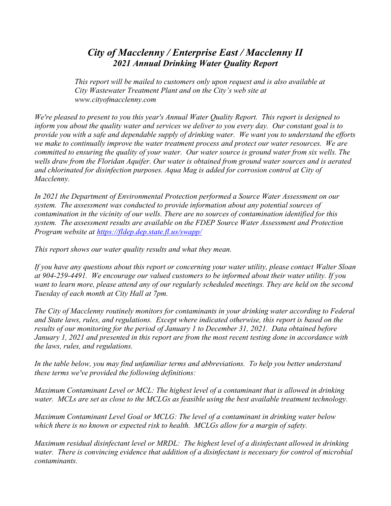## City of Macclenny / Enterprise East / Macclenny II 2021 Annual Drinking Water Quality Report

This report will be mailed to customers only upon request and is also available at City Wastewater Treatment Plant and on the City's web site at www.cityofmacclenny.com

We're pleased to present to you this year's Annual Water Quality Report. This report is designed to inform you about the quality water and services we deliver to you every day. Our constant goal is to provide you with a safe and dependable supply of drinking water. We want you to understand the efforts we make to continually improve the water treatment process and protect our water resources. We are committed to ensuring the quality of your water. Our water source is ground water from six wells. The wells draw from the Floridan Aquifer. Our water is obtained from ground water sources and is aerated and chlorinated for disinfection purposes. Aqua Mag is added for corrosion control at City of Macclenny.

In 2021 the Department of Environmental Protection performed a Source Water Assessment on our system. The assessment was conducted to provide information about any potential sources of contamination in the vicinity of our wells. There are no sources of contamination identified for this system. The assessment results are available on the FDEP Source Water Assessment and Protection Program website at https://fldep.dep.state.fl.us/swapp/

This report shows our water quality results and what they mean.

If you have any questions about this report or concerning your water utility, please contact Walter Sloan at 904-259-4491. We encourage our valued customers to be informed about their water utility. If you want to learn more, please attend any of our regularly scheduled meetings. They are held on the second Tuesday of each month at City Hall at 7pm.

The City of Macclenny routinely monitors for contaminants in your drinking water according to Federal and State laws, rules, and regulations. Except where indicated otherwise, this report is based on the results of our monitoring for the period of January 1 to December 31, 2021. Data obtained before January 1, 2021 and presented in this report are from the most recent testing done in accordance with the laws, rules, and regulations.

In the table below, you may find unfamiliar terms and abbreviations. To help you better understand these terms we've provided the following definitions:

Maximum Contaminant Level or MCL: The highest level of a contaminant that is allowed in drinking water. MCLs are set as close to the MCLGs as feasible using the best available treatment technology.

Maximum Contaminant Level Goal or MCLG: The level of a contaminant in drinking water below which there is no known or expected risk to health. MCLGs allow for a margin of safety.

Maximum residual disinfectant level or MRDL: The highest level of a disinfectant allowed in drinking water. There is convincing evidence that addition of a disinfectant is necessary for control of microbial contaminants.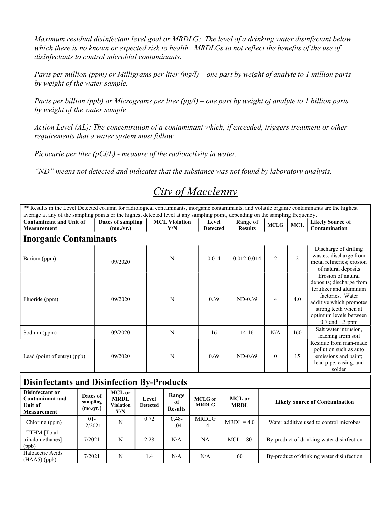Maximum residual disinfectant level goal or MRDLG: The level of a drinking water disinfectant below which there is no known or expected risk to health. MRDLGs to not reflect the benefits of the use of disinfectants to control microbial contaminants.

Parts per million (ppm) or Milligrams per liter (mg/l) – one part by weight of analyte to 1 million parts by weight of the water sample.

Parts per billion (ppb) or Micrograms per liter  $(\mu g/l)$  – one part by weight of analyte to 1 billion parts by weight of the water sample

Action Level (AL): The concentration of a contaminant which, if exceeded, triggers treatment or other requirements that a water system must follow.

Picocurie per liter  $(pCi/L)$  - measure of the radioactivity in water.

"ND" means not detected and indicates that the substance was not found by laboratory analysis.

## City of Macclenny

\*\* Results in the Level Detected column for radiological contaminants, inorganic contaminants, and volatile organic contaminants are the highest average at any of the sampling points or the highest detected level at any sampling point, depending on the sampling frequency.

| <b>Contaminant and Unit of</b><br><b>Measurement</b> | Dates of sampling<br>(mo./yr.) | <b>MCL Violation</b><br>Y/N | Level<br>Range of<br><b>Results</b><br><b>Detected</b> |                 | <b>MCLG</b>    | <b>MCL</b>     | <b>Likely Source of</b><br>Contamination                                                                                                                                                      |  |  |  |  |  |
|------------------------------------------------------|--------------------------------|-----------------------------|--------------------------------------------------------|-----------------|----------------|----------------|-----------------------------------------------------------------------------------------------------------------------------------------------------------------------------------------------|--|--|--|--|--|
| <b>Inorganic Contaminants</b>                        |                                |                             |                                                        |                 |                |                |                                                                                                                                                                                               |  |  |  |  |  |
| Barium (ppm)                                         | 09/2020                        | N                           | 0.014                                                  | $0.012 - 0.014$ | $\overline{2}$ | $\overline{2}$ | Discharge of drilling<br>wastes; discharge from<br>metal refineries; erosion<br>of natural deposits                                                                                           |  |  |  |  |  |
| Fluoride (ppm)                                       | 09/2020                        | N                           | 0.39                                                   | $ND-0.39$       | $\overline{4}$ | 4.0            | Erosion of natural<br>deposits; discharge from<br>fertilizer and aluminum<br>factories. Water<br>additive which promotes<br>strong teeth when at<br>optimum levels between<br>0.7 and 1.3 ppm |  |  |  |  |  |
| Sodium (ppm)                                         | 09/2020                        | N                           | 16                                                     | $14 - 16$       | N/A            | 160            | Salt water intrusion,<br>leaching from soil                                                                                                                                                   |  |  |  |  |  |
| Lead (point of entry) (ppb)                          | 09/2020                        | N                           | 0.69                                                   | $ND-0.69$       | $\Omega$       | 15             | Residue from man-made<br>pollution such as auto<br>emissions and paint;<br>lead pipe, casing, and<br>solder                                                                                   |  |  |  |  |  |

## Disinfectants and Disinfection By-Products

| Disinfectant or<br><b>Contaminant and</b><br>Unit of<br>Measurement | Dates of<br>sampling<br>(mo./yr.) | MCL or<br><b>MRDL</b><br>Violation<br>Y/N | Level<br><b>Detected</b> | Range<br>of<br><b>Results</b> | <b>MCLG</b> or<br><b>MRDLG</b> | MCL or<br><b>MRDL</b> | <b>Likely Source of Contamination</b>     |
|---------------------------------------------------------------------|-----------------------------------|-------------------------------------------|--------------------------|-------------------------------|--------------------------------|-----------------------|-------------------------------------------|
| Chlorine (ppm)                                                      | $01 -$<br>12/2021                 | N                                         | 0.72                     | $0.48 -$<br>.04               | <b>MRDLG</b><br>$=4$           | $MRDL = 4.0$          | Water additive used to control microbes   |
| TTHM [Total<br>trihalomethanes]<br>(ppb)                            | 7/2021                            | N                                         | 2.28                     | N/A                           | NA                             | $MCL = 80$            | By-product of drinking water disinfection |
| Haloacetic Acids<br>$(HAA5)$ (ppb)                                  | 7/2021                            | N                                         | 1.4                      | N/A                           | N/A                            | 60                    | By-product of drinking water disinfection |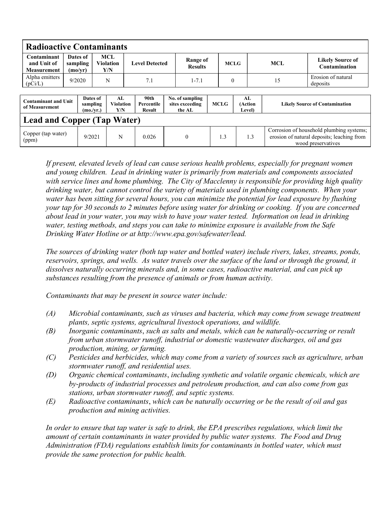| <b>Radioactive Contaminants</b>                  |                                 |                                   |     |                               |  |                                     |  |                                              |             |              |                                 |     |                                                                                                              |                                          |
|--------------------------------------------------|---------------------------------|-----------------------------------|-----|-------------------------------|--|-------------------------------------|--|----------------------------------------------|-------------|--------------|---------------------------------|-----|--------------------------------------------------------------------------------------------------------------|------------------------------------------|
| Contaminant<br>and Unit of<br><b>Measurement</b> | Dates of<br>sampling<br>(mo/yr) |                                   | MCL | <b>Violation</b><br>Y/N       |  | <b>Level Detected</b>               |  | Range of<br><b>Results</b>                   |             |              | <b>MCLG</b>                     |     | <b>MCL</b>                                                                                                   | <b>Likely Source of</b><br>Contamination |
| Alpha emitters<br>(pCi/L)                        | 9/2020                          |                                   | N   |                               |  | 7.1                                 |  | $1 - 7.1$                                    |             | $\mathbf{0}$ |                                 |     | 15                                                                                                           | Erosion of natural<br>deposits           |
| <b>Contaminant and Unit</b><br>of Measurement    |                                 | Dates of<br>sampling<br>(mo./vr.) |     | AL<br><b>Violation</b><br>Y/N |  | 90th<br><b>Percentile</b><br>Result |  | No. of sampling<br>sites exceeding<br>the AL | <b>MCLG</b> |              | AL<br>(Action<br><b>Level</b> ) |     | <b>Likely Source of Contamination</b>                                                                        |                                          |
| <b>Lead and Copper (Tap Water)</b>               |                                 |                                   |     |                               |  |                                     |  |                                              |             |              |                                 |     |                                                                                                              |                                          |
| Copper (tap water)<br>(ppm)                      |                                 | 9/2021                            |     | N                             |  | 0.026                               |  | $\theta$                                     |             | 1.3          |                                 | 1.3 | Corrosion of household plumbing systems;<br>erosion of natural deposits; leaching from<br>wood preservatives |                                          |

If present, elevated levels of lead can cause serious health problems, especially for pregnant women and young children. Lead in drinking water is primarily from materials and components associated with service lines and home plumbing. The City of Macclenny is responsible for providing high quality drinking water, but cannot control the variety of materials used in plumbing components. When your water has been sitting for several hours, you can minimize the potential for lead exposure by flushing your tap for 30 seconds to 2 minutes before using water for drinking or cooking. If you are concerned about lead in your water, you may wish to have your water tested. Information on lead in drinking water, testing methods, and steps you can take to minimize exposure is available from the Safe Drinking Water Hotline or at http://www.epa.gov/safewater/lead.

The sources of drinking water (both tap water and bottled water) include rivers, lakes, streams, ponds, reservoirs, springs, and wells. As water travels over the surface of the land or through the ground, it dissolves naturally occurring minerals and, in some cases, radioactive material, and can pick up substances resulting from the presence of animals or from human activity.

Contaminants that may be present in source water include:

- (A) Microbial contaminants, such as viruses and bacteria, which may come from sewage treatment plants, septic systems, agricultural livestock operations, and wildlife.
- (B) Inorganic contaminants, such as salts and metals, which can be naturally-occurring or result from urban stormwater runoff, industrial or domestic wastewater discharges, oil and gas production, mining, or farming.
- (C) Pesticides and herbicides, which may come from a variety of sources such as agriculture, urban stormwater runoff, and residential uses.
- (D) Organic chemical contaminants, including synthetic and volatile organic chemicals, which are by-products of industrial processes and petroleum production, and can also come from gas stations, urban stormwater runoff, and septic systems.
- $(E)$  Radioactive contaminants, which can be naturally occurring or be the result of oil and gas production and mining activities.

In order to ensure that tap water is safe to drink, the EPA prescribes regulations, which limit the amount of certain contaminants in water provided by public water systems. The Food and Drug Administration (FDA) regulations establish limits for contaminants in bottled water, which must provide the same protection for public health.